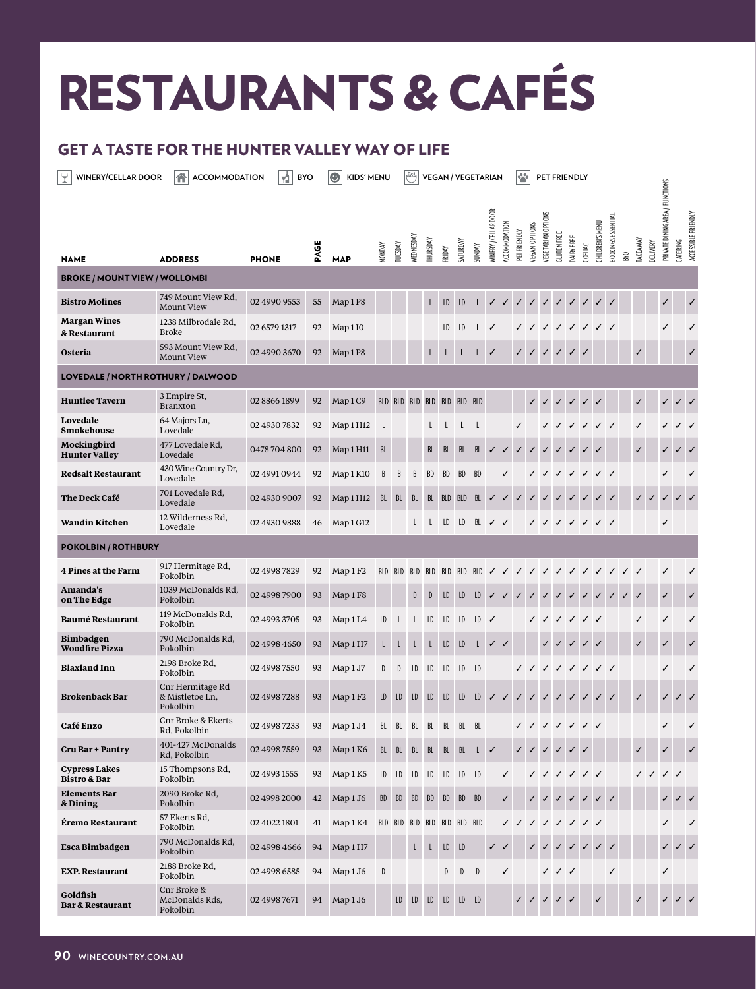## RESTAURANTS & CAFÉS

## GET A TASTE FOR THE HUNTER VALLEY WAY OF LIFE

**WINERY/CELLAR DOOR** ACCOMMODATION **A** BYO **B** KIDS' MENU **B** VEGAN / VEGETARIAN **B** PET FRIENDLY PRIVATE DINING AREA / FUNCTIONS PRIVATE DINING AREA / FUNCTIONS **MINERY / CELLAR DOOR** WINERY / CELLAR DOOR **ACCESSIBLE FRIENDLY**  ACCESSIBLE FRIENDLY EGETARIAN OPTIONS VEGETARIAN OPTIONS **30 OKINGS ESSENTIAL** BOOKINGS ESSENTIAL CCOMMODATION HILDREN'S MENU ACCOMMODATION **EGAN OPTIONS** CHILDREN'S MENU VEGAN OPTIONS PET FRIENDLY PET FRIENDLY GLUTEN FREE DAIRY FREE **EDNESDAY** SATURDAY TAKEAWAY **HURSDAY** CATERING TUESDAY DELIVERY PAGE MONDAY **UNDAY** COELIAC FRIDAY BYO NAME ADDRESS PHONE **MAP** BROKE / MOUNT VIEW / WOLLOMBI **Bistro Molines** 749 Mount View Rd,<br>Mount View Mount View <sup>02</sup> [4990 9553](https://www.winecountry.com.au/bistro-molines) <sup>55</sup> Map <sup>1</sup> P8 <sup>L</sup> <sup>L</sup> LD LD <sup>L</sup> ✓ ✓ ✓ ✓ ✓ ✓ ✓ ✓ ✓ ✓ ✓ ✓ **Margan Wines** 1238 Milbrodale Rd,  $E_{\text{D.00.6}}$  and  $E_{\text{D.00.6}}$  02 6579 1317 92 Map 110 I I D D L  $\checkmark$   $\checkmark$   $\checkmark$   $\checkmark$   $\checkmark$   $\checkmark$   $\checkmark$   $\checkmark$ **& [Restaurant](https://www.winecountry.com.au/margan-wines-and-restaurant-explore) Osteria** 593 Mount View Rd, Mount View <sup>02</sup> [4990 3670](https://www.winecountry.com.au/osteria-cafe) <sup>92</sup> Map <sup>1</sup> P8 <sup>L</sup> <sup>L</sup> <sup>L</sup> <sup>L</sup> <sup>L</sup> ✓ ✓ ✓ ✓ ✓ ✓ ✓ ✓ ✓ LOVEDALE / NORTH ROTHURY / DALWOOD **Huntlee Tavern** 3 Empire St,<br>Branxton Branxton <sup>02</sup> [8866 1899](https://www.winecountry.com.au/huntlee-tavern) <sup>92</sup> Map <sup>1</sup> C9 BLD BLD BLD BLD BLD BLD BLD ✓ ✓ ✓ ✓ ✓ ✓ ✓ ✓ ✓ ✓ **Lovedale** 64 Majors Ln, Lovedale <sup>02</sup> 4930 7832 <sup>92</sup> Map <sup>1</sup> H12 <sup>L</sup> <sup>L</sup> <sup>L</sup> <sup>L</sup> <sup>L</sup> ✓ ✓ ✓ ✓ ✓ ✓ ✓ ✓ ✓ ✓ ✓ **[Smokehouse](https://www.winecountry.com.au/lovedale-smokehouse-cafe) [Mockingbird](https://www.winecountry.com.au/mockingbird-hunter-valley)** 477 Lovedale Rd, Lovedale 0478 704 800 <sup>92</sup> Map <sup>1</sup> H11 BL BL BL BL BL ✓ ✓ ✓ ✓ ✓ ✓ ✓ ✓ ✓ ✓ ✓ ✓ ✓ **Hunter Valley Redsalt Restaurant** 430 Wine Country Dr, Lovedale <sup>02</sup> 4991 0944 <sup>92</sup> Map <sup>1</sup> K10 <sup>B</sup> <sup>B</sup> <sup>B</sup> BD BD BD BD ✓ ✓ ✓ ✓ ✓ ✓ ✓ ✓ ✓ ✓ **The Deck Café** 701 Lovedale Rd, bovedale 03, co2 [4930 9007](https://www.winecountry.com.au/the-deck-cafe) 92 Map 1 H12 BL BL BL BL BD BD BL ママママママママママママ **Wandin Kitchen** 12 [Wilderness](https://www.winecountry.com.au/wandin-kitchen) Rd, Lovedale <sup>02</sup> 4930 9888 <sup>46</sup> Map <sup>1</sup> G12 <sup>L</sup> <sup>L</sup> LD LD BL ✓ ✓ ✓ ✓ ✓ ✓ ✓ ✓ ✓ ✓ POKOLBIN / ROTHBURY **<sup>4</sup> Pines at the Farm** <sup>917</sup> [Hermitage](https://www.winecountry.com.au/4-pines-at-the-farm) Rd, Pokolbin <sup>02</sup> 4998 7829 <sup>92</sup> Map <sup>1</sup> F2 BLD BLD BLD BLD BLD BLD BLD ✓ ✓ ✓ ✓ ✓ ✓ ✓ ✓ ✓ ✓ ✓ ✓ ✓ ✓ 1039 [McDonalds](https://www.winecountry.com.au/amandas-on-the-edge) Rd, **Amanda's** Pokolbin <sup>02</sup> 4998 7900 <sup>93</sup> Map <sup>1</sup> F8 <sup>D</sup> <sup>D</sup> LD LD LD ✓ ✓ ✓ ✓ ✓ ✓ ✓ ✓ ✓ ✓ ✓ ✓ ✓ ✓ **on The Edge Baumé [Restaurant](https://www.winecountry.com.au/baume)** 119 McDonalds Rd, Pokolbin <sup>02</sup> 4993 3705 <sup>93</sup> Map <sup>1</sup> L4 LD <sup>L</sup> <sup>L</sup> LD LD LD LD ✓ ✓ ✓ ✓ ✓ ✓ ✓ ✓ ✓ ✓ 790 McDonalds Rd, **[Bimbadgen](https://www.winecountry.com.au/bimbadgen-weddings)** Pokolbin <sup>02</sup> 4998 4650 <sup>93</sup> Map <sup>1</sup> H7 <sup>L</sup> <sup>L</sup> <sup>L</sup> <sup>L</sup> LD LD <sup>L</sup> ✓ ✓ ✓ ✓ ✓ ✓ ✓ ✓ ✓ ✓ **Woodfire Pizza Blaxland Inn** 2198 Broke Rd, Pokolbin (a), 02 4998 7550 93 Map 1 J7 D D LD LD LD LD LD  $\sqrt{7}$  ( $\sqrt{7}$  ) Cnr Hermitage Rd **[Brokenback](https://www.winecountry.com.au/the-brokenback-bar) Bar** & Mistletoe Ln, 02 4998 7288 93 Map 1 F2 LD LD LD LD LD LD LD  $\check{U}$   $\check{U}$   $\check{V}$   $\check{V}$   $\check{V}$   $\check{V}$   $\check{V}$   $\check{V}$   $\check{V}$   $\check{V}$   $\check{V}$   $\check{V}$   $\check{V}$   $\check{V}$   $\check{V}$   $\check{V}$   $\check{V}$   $\check{V}$   $\check{V}$   $\check{V}$   $\check{V}$   $\check{V}$  Pokolbin **Café Enzo** Cnr Broke & Ekerts Rd, Pokolbin <sup>02</sup> [4998 7233](https://www.winecountry.com.au/cafe-enzo) <sup>93</sup> Map <sup>1</sup> J4 BL BL BL BL BL BL BL ✓ ✓ ✓ ✓ ✓ ✓ ✓ ✓ ✓ **Cru Bar + Pantry** 401-427 [McDonalds](https://www.winecountry.com.au/cru-bar-pantry)<br>Rd, Pokolbin <del>-0.1 *-26.* MCD 02 02 02 1998 7559</del> 93 Map 1 K6 BL BL BL BL BL BL L **✓** ✓ ✓ ✓ ✓ ✓ ✓ │ │ ✓ │ <mark></mark> ✓ │ │ <mark></mark> 15 [Thompsons](https://www.winecountry.com.au/cypress-lakes-bistro-bar) Rd, **Cypress Lakes Pokolbin 02 4993 1555 93 Map 1 K5 LD LD LD LD LD LD LD (** )  $\sqrt{2}$  ( )  $\sqrt{2}$  ( )  $\sqrt{2}$  ( )  $\sqrt{2}$ **Bistro & Bar Elements Bar** 2090 Broke Rd,  $P_{\text{ONO}}$  Pokolbin  $\text{R}_{\text{O}}$  02 [4998 2000](https://www.winecountry.com.au/elements-hunter-valley) 42 Map 1 J6 BD BD BD BD BD BD BD  $\text{O}$   $\text{O}$   $\text{O}$   $\text{O}$   $\text{O}$   $\text{O}$   $\text{O}$   $\text{O}$   $\text{O}$   $\text{O}$   $\text{O}$   $\text{O}$   $\text{O}$   $\text{O}$   $\text{O}$   $\text{O}$   $\text{O}$   $\text{O}$ **& Dining Éremo [Restaurant](https://www.winecountry.com.au/restaurant-eremo)** <sup>57</sup> Ekerts Rd,  $O240221801$  41 Map 1 K4 BLD BLD BLD BLD BLD BLD BLD BLD  $\downarrow$   $\downarrow$   $\downarrow$   $\downarrow$   $\downarrow$   $\downarrow$   $\downarrow$   $\downarrow$   $\downarrow$ **Esca [Bimbadgen](https://www.winecountry.com.au/esca-bimbadgen)** 790 McDonalds Rd, Pokolbin <sup>02</sup> 4998 4666 <sup>94</sup> Map <sup>1</sup> H7 <sup>L</sup> <sup>L</sup> LD LD ✓ ✓ ✓ ✓ ✓ ✓ ✓ ✓ ✓ ✓ ✓ ✓ **EXP. [Restaurant](https://www.winecountry.com.au/exp-restaurant)** <sup>2188</sup> Broke Rd, 21.00 DIOK ROM, 21.02.4998 6585 94 Map 1 J6 D D D D D V / V / V | V | | V Cnr Broke & **Goldfish** McDonalds Rds, 02 4998 7671 94 Map 1 J6 LD LD LD LD LD LD LD **Bar & [Restaurant](https://www.winecountry.com.au/goldfish-bar-and-restaurant)** Pokolbin